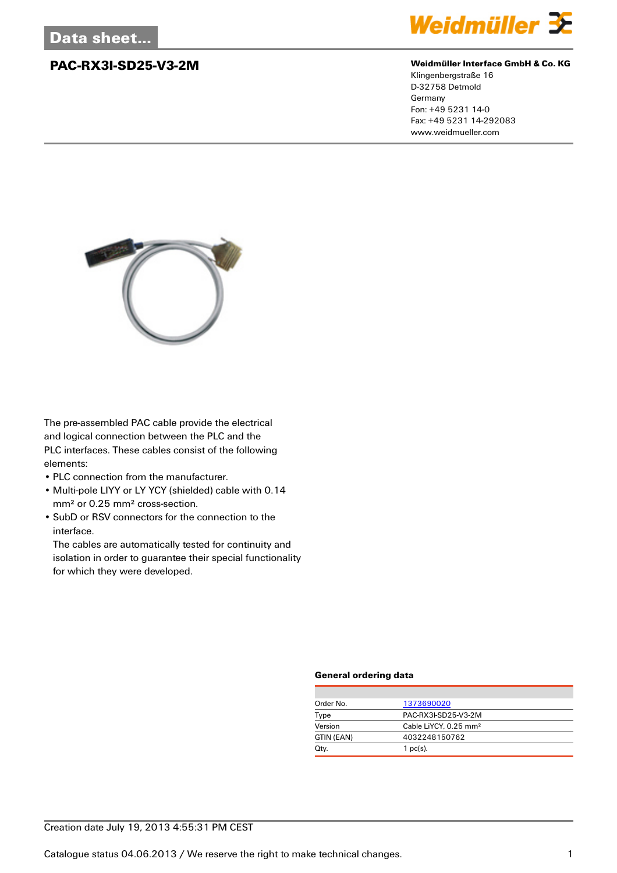

### **PAC-RX3I-SD25-V3-2M Weidmüller Interface GmbH & Co. KG**

Klingenbergstraße 16 D-32758 Detmold Germany Fon: +49 5231 14-0 Fax: +49 5231 14-292083 www.weidmueller.com



The pre-assembled PAC cable provide the electrical and logical connection between the PLC and the PLC interfaces. These cables consist of the following elements:

- PLC connection from the manufacturer.
- Multi-pole LIYY or LY YCY (shielded) cable with 0.14 mm² or 0.25 mm² cross-section.
- SubD or RSV connectors for the connection to the interface.

The cables are automatically tested for continuity and isolation in order to guarantee their special functionality for which they were developed.

## **General ordering data**

| Order No.  | 1373690020                        |
|------------|-----------------------------------|
| Type       | PAC-RX3I-SD25-V3-2M               |
| Version    | Cable LiYCY, 0.25 mm <sup>2</sup> |
| GTIN (EAN) | 4032248150762                     |
| Qty.       | $1$ pc(s).                        |